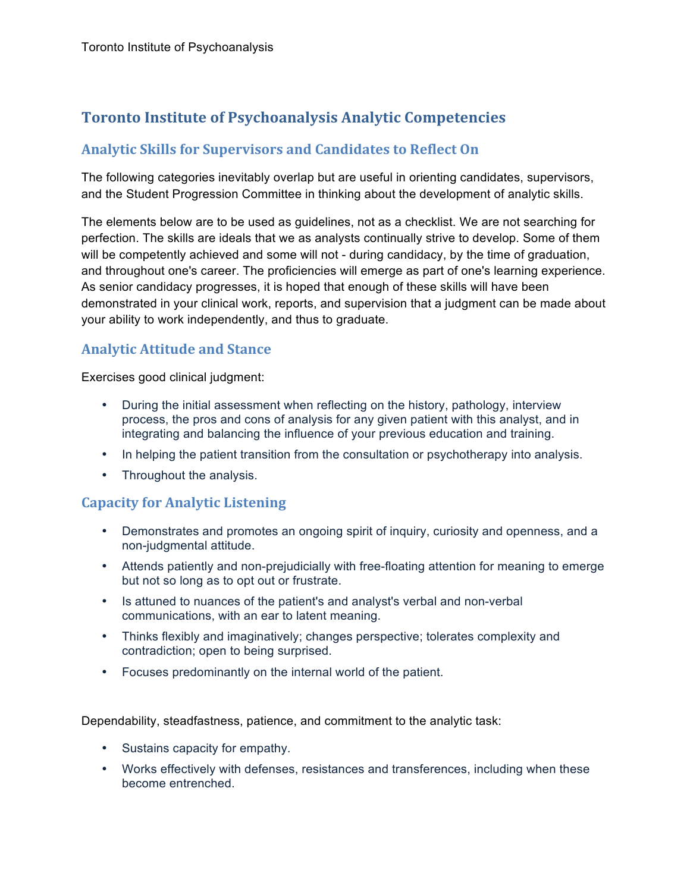# **Toronto Institute of Psychoanalysis Analytic Competencies**

## **Analytic Skills for Supervisors and Candidates to Reflect On**

The following categories inevitably overlap but are useful in orienting candidates, supervisors, and the Student Progression Committee in thinking about the development of analytic skills.

The elements below are to be used as guidelines, not as a checklist. We are not searching for perfection. The skills are ideals that we as analysts continually strive to develop. Some of them will be competently achieved and some will not - during candidacy, by the time of graduation, and throughout one's career. The proficiencies will emerge as part of one's learning experience. As senior candidacy progresses, it is hoped that enough of these skills will have been demonstrated in your clinical work, reports, and supervision that a judgment can be made about your ability to work independently, and thus to graduate.

## **Analytic Attitude and Stance**

Exercises good clinical judgment:

- During the initial assessment when reflecting on the history, pathology, interview process, the pros and cons of analysis for any given patient with this analyst, and in integrating and balancing the influence of your previous education and training.
- In helping the patient transition from the consultation or psychotherapy into analysis.
- Throughout the analysis.

### **Capacity for Analytic Listening**

- Demonstrates and promotes an ongoing spirit of inquiry, curiosity and openness, and a non-judgmental attitude.
- Attends patiently and non-prejudicially with free-floating attention for meaning to emerge but not so long as to opt out or frustrate.
- Is attuned to nuances of the patient's and analyst's verbal and non-verbal communications, with an ear to latent meaning.
- Thinks flexibly and imaginatively; changes perspective; tolerates complexity and contradiction; open to being surprised.
- Focuses predominantly on the internal world of the patient.

Dependability, steadfastness, patience, and commitment to the analytic task:

- Sustains capacity for empathy.
- Works effectively with defenses, resistances and transferences, including when these become entrenched.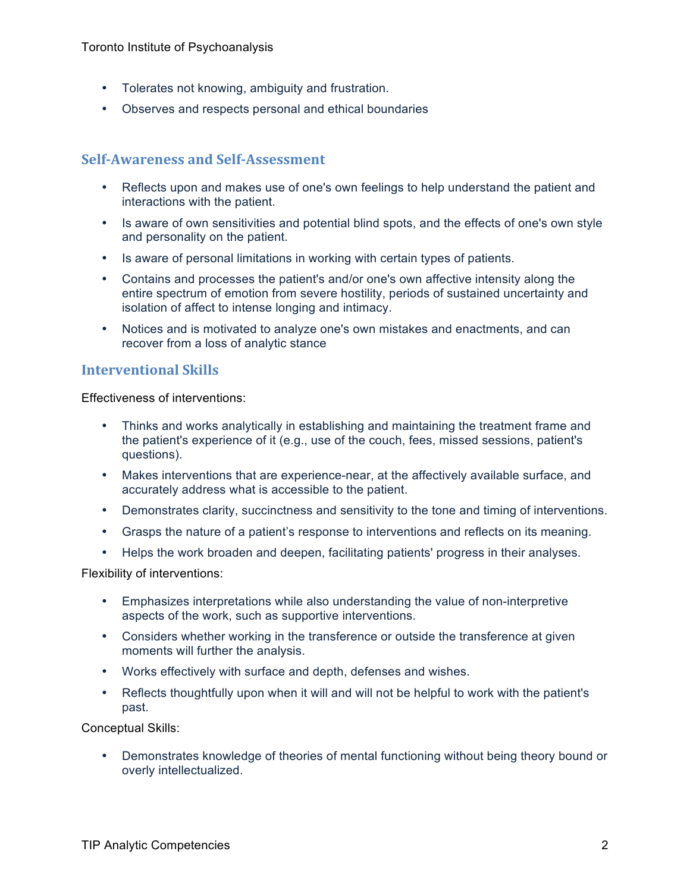- Tolerates not knowing, ambiguity and frustration.
- Observes and respects personal and ethical boundaries

#### **Self-Awareness and Self-Assessment**

- Reflects upon and makes use of one's own feelings to help understand the patient and interactions with the patient.
- Is aware of own sensitivities and potential blind spots, and the effects of one's own style and personality on the patient.
- Is aware of personal limitations in working with certain types of patients.
- Contains and processes the patient's and/or one's own affective intensity along the entire spectrum of emotion from severe hostility, periods of sustained uncertainty and isolation of affect to intense longing and intimacy.
- Notices and is motivated to analyze one's own mistakes and enactments, and can recover from a loss of analytic stance

#### **Interventional Skills**

Effectiveness of interventions:

- Thinks and works analytically in establishing and maintaining the treatment frame and the patient's experience of it (e.g., use of the couch, fees, missed sessions, patient's questions).
- Makes interventions that are experience-near, at the affectively available surface, and accurately address what is accessible to the patient.
- Demonstrates clarity, succinctness and sensitivity to the tone and timing of interventions.
- Grasps the nature of a patient's response to interventions and reflects on its meaning.
- Helps the work broaden and deepen, facilitating patients' progress in their analyses.

Flexibility of interventions:

- Emphasizes interpretations while also understanding the value of non-interpretive aspects of the work, such as supportive interventions.
- Considers whether working in the transference or outside the transference at given moments will further the analysis.
- Works effectively with surface and depth, defenses and wishes.
- Reflects thoughtfully upon when it will and will not be helpful to work with the patient's past.

Conceptual Skills:

• Demonstrates knowledge of theories of mental functioning without being theory bound or overly intellectualized.